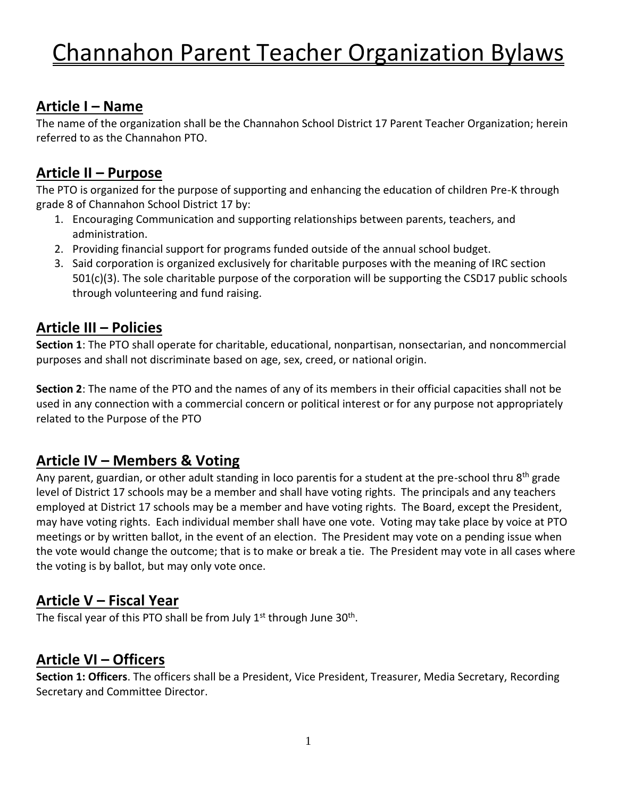#### **Article I – Name**

The name of the organization shall be the Channahon School District 17 Parent Teacher Organization; herein referred to as the Channahon PTO.

### **Article II – Purpose**

The PTO is organized for the purpose of supporting and enhancing the education of children Pre-K through grade 8 of Channahon School District 17 by:

- 1. Encouraging Communication and supporting relationships between parents, teachers, and administration.
- 2. Providing financial support for programs funded outside of the annual school budget.
- 3. Said corporation is organized exclusively for charitable purposes with the meaning of IRC section 501(c)(3). The sole charitable purpose of the corporation will be supporting the CSD17 public schools through volunteering and fund raising.

### **Article III – Policies**

**Section 1**: The PTO shall operate for charitable, educational, nonpartisan, nonsectarian, and noncommercial purposes and shall not discriminate based on age, sex, creed, or national origin.

**Section 2**: The name of the PTO and the names of any of its members in their official capacities shall not be used in any connection with a commercial concern or political interest or for any purpose not appropriately related to the Purpose of the PTO

### **Article IV – Members & Voting**

Any parent, guardian, or other adult standing in loco parentis for a student at the pre-school thru 8<sup>th</sup> grade level of District 17 schools may be a member and shall have voting rights. The principals and any teachers employed at District 17 schools may be a member and have voting rights. The Board, except the President, may have voting rights. Each individual member shall have one vote. Voting may take place by voice at PTO meetings or by written ballot, in the event of an election. The President may vote on a pending issue when the vote would change the outcome; that is to make or break a tie. The President may vote in all cases where the voting is by ballot, but may only vote once.

### **Article V – Fiscal Year**

The fiscal year of this PTO shall be from July  $1<sup>st</sup>$  through June 30<sup>th</sup>.

### **Article VI – Officers**

**Section 1: Officers**. The officers shall be a President, Vice President, Treasurer, Media Secretary, Recording Secretary and Committee Director.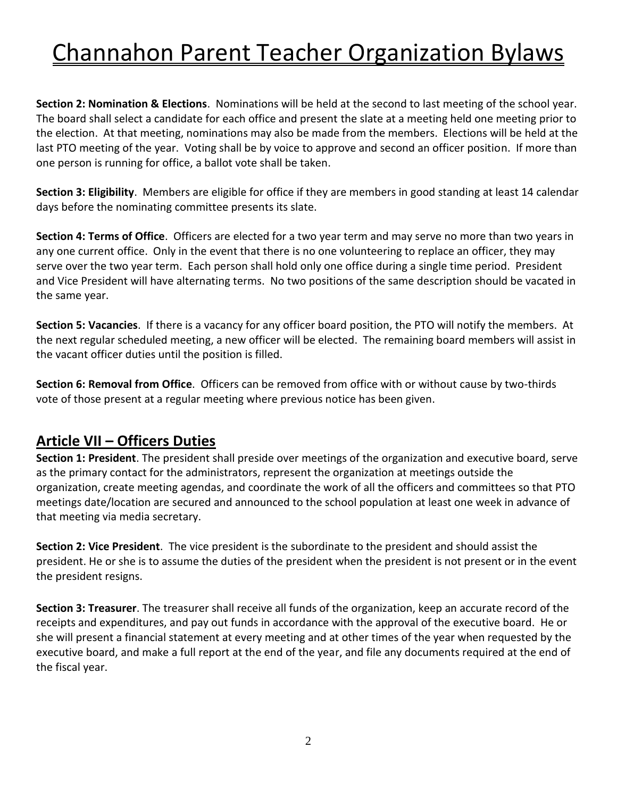**Section 2: Nomination & Elections**. Nominations will be held at the second to last meeting of the school year. The board shall select a candidate for each office and present the slate at a meeting held one meeting prior to the election. At that meeting, nominations may also be made from the members. Elections will be held at the last PTO meeting of the year. Voting shall be by voice to approve and second an officer position. If more than one person is running for office, a ballot vote shall be taken.

**Section 3: Eligibility**. Members are eligible for office if they are members in good standing at least 14 calendar days before the nominating committee presents its slate.

**Section 4: Terms of Office**. Officers are elected for a two year term and may serve no more than two years in any one current office. Only in the event that there is no one volunteering to replace an officer, they may serve over the two year term. Each person shall hold only one office during a single time period. President and Vice President will have alternating terms. No two positions of the same description should be vacated in the same year.

**Section 5: Vacancies**. If there is a vacancy for any officer board position, the PTO will notify the members. At the next regular scheduled meeting, a new officer will be elected. The remaining board members will assist in the vacant officer duties until the position is filled.

**Section 6: Removal from Office**. Officers can be removed from office with or without cause by two-thirds vote of those present at a regular meeting where previous notice has been given.

#### **Article VII – Officers Duties**

**Section 1: President**. The president shall preside over meetings of the organization and executive board, serve as the primary contact for the administrators, represent the organization at meetings outside the organization, create meeting agendas, and coordinate the work of all the officers and committees so that PTO meetings date/location are secured and announced to the school population at least one week in advance of that meeting via media secretary.

**Section 2: Vice President**. The vice president is the subordinate to the president and should assist the president. He or she is to assume the duties of the president when the president is not present or in the event the president resigns.

**Section 3: Treasurer**. The treasurer shall receive all funds of the organization, keep an accurate record of the receipts and expenditures, and pay out funds in accordance with the approval of the executive board. He or she will present a financial statement at every meeting and at other times of the year when requested by the executive board, and make a full report at the end of the year, and file any documents required at the end of the fiscal year.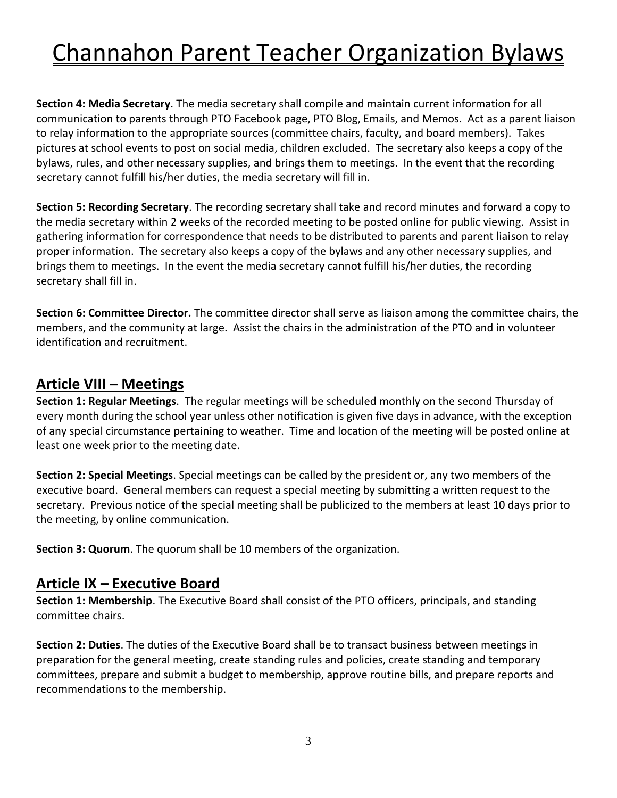**Section 4: Media Secretary**. The media secretary shall compile and maintain current information for all communication to parents through PTO Facebook page, PTO Blog, Emails, and Memos. Act as a parent liaison to relay information to the appropriate sources (committee chairs, faculty, and board members). Takes pictures at school events to post on social media, children excluded. The secretary also keeps a copy of the bylaws, rules, and other necessary supplies, and brings them to meetings. In the event that the recording secretary cannot fulfill his/her duties, the media secretary will fill in.

**Section 5: Recording Secretary**. The recording secretary shall take and record minutes and forward a copy to the media secretary within 2 weeks of the recorded meeting to be posted online for public viewing. Assist in gathering information for correspondence that needs to be distributed to parents and parent liaison to relay proper information. The secretary also keeps a copy of the bylaws and any other necessary supplies, and brings them to meetings. In the event the media secretary cannot fulfill his/her duties, the recording secretary shall fill in.

**Section 6: Committee Director.** The committee director shall serve as liaison among the committee chairs, the members, and the community at large. Assist the chairs in the administration of the PTO and in volunteer identification and recruitment.

### **Article VIII – Meetings**

**Section 1: Regular Meetings**. The regular meetings will be scheduled monthly on the second Thursday of every month during the school year unless other notification is given five days in advance, with the exception of any special circumstance pertaining to weather. Time and location of the meeting will be posted online at least one week prior to the meeting date.

**Section 2: Special Meetings**. Special meetings can be called by the president or, any two members of the executive board. General members can request a special meeting by submitting a written request to the secretary. Previous notice of the special meeting shall be publicized to the members at least 10 days prior to the meeting, by online communication.

**Section 3: Quorum**. The quorum shall be 10 members of the organization.

#### **Article IX – Executive Board**

**Section 1: Membership**. The Executive Board shall consist of the PTO officers, principals, and standing committee chairs.

**Section 2: Duties**. The duties of the Executive Board shall be to transact business between meetings in preparation for the general meeting, create standing rules and policies, create standing and temporary committees, prepare and submit a budget to membership, approve routine bills, and prepare reports and recommendations to the membership.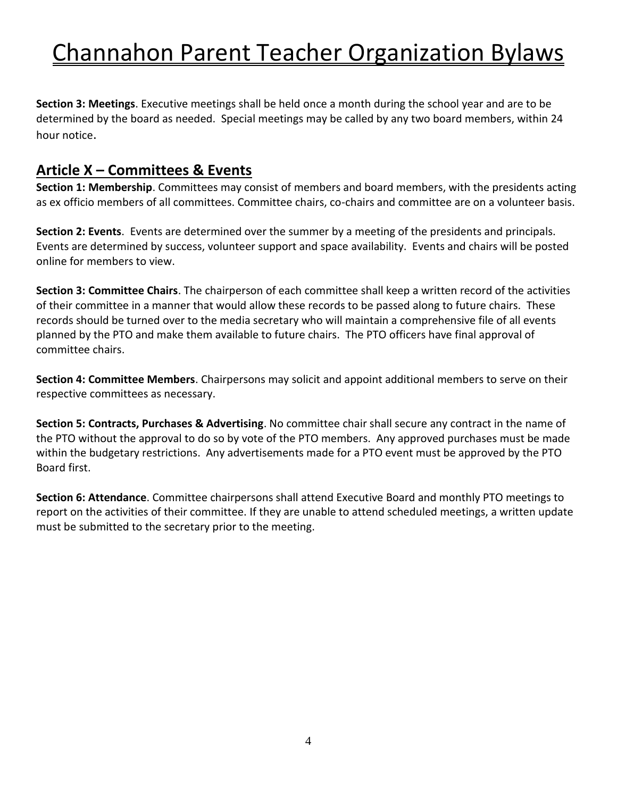**Section 3: Meetings**. Executive meetings shall be held once a month during the school year and are to be determined by the board as needed. Special meetings may be called by any two board members, within 24 hour notice.

#### **Article X – Committees & Events**

**Section 1: Membership**. Committees may consist of members and board members, with the presidents acting as ex officio members of all committees. Committee chairs, co-chairs and committee are on a volunteer basis.

**Section 2: Events**. Events are determined over the summer by a meeting of the presidents and principals. Events are determined by success, volunteer support and space availability. Events and chairs will be posted online for members to view.

**Section 3: Committee Chairs**. The chairperson of each committee shall keep a written record of the activities of their committee in a manner that would allow these records to be passed along to future chairs. These records should be turned over to the media secretary who will maintain a comprehensive file of all events planned by the PTO and make them available to future chairs. The PTO officers have final approval of committee chairs.

**Section 4: Committee Members**. Chairpersons may solicit and appoint additional members to serve on their respective committees as necessary.

**Section 5: Contracts, Purchases & Advertising**. No committee chair shall secure any contract in the name of the PTO without the approval to do so by vote of the PTO members. Any approved purchases must be made within the budgetary restrictions. Any advertisements made for a PTO event must be approved by the PTO Board first.

**Section 6: Attendance**. Committee chairpersons shall attend Executive Board and monthly PTO meetings to report on the activities of their committee. If they are unable to attend scheduled meetings, a written update must be submitted to the secretary prior to the meeting.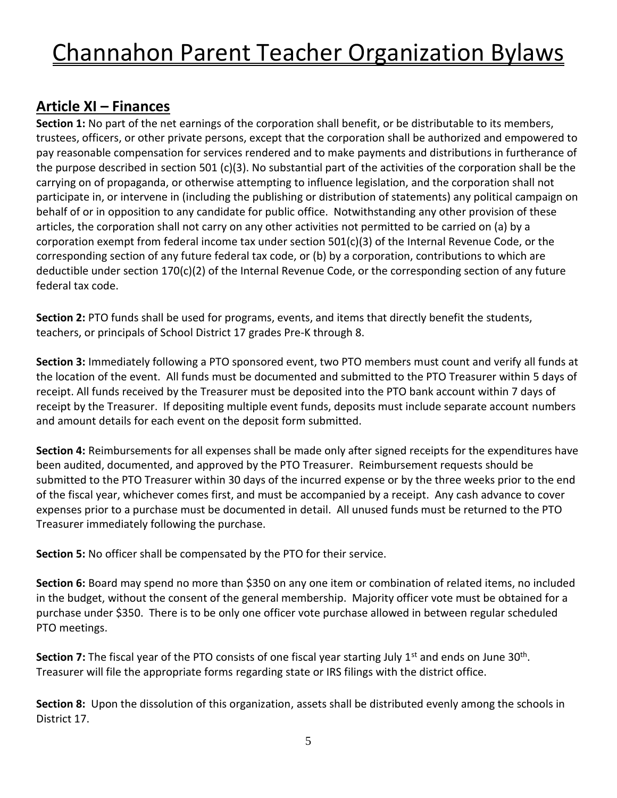### **Article XI – Finances**

**Section 1:** No part of the net earnings of the corporation shall benefit, or be distributable to its members, trustees, officers, or other private persons, except that the corporation shall be authorized and empowered to pay reasonable compensation for services rendered and to make payments and distributions in furtherance of the purpose described in section 501 (c)(3). No substantial part of the activities of the corporation shall be the carrying on of propaganda, or otherwise attempting to influence legislation, and the corporation shall not participate in, or intervene in (including the publishing or distribution of statements) any political campaign on behalf of or in opposition to any candidate for public office. Notwithstanding any other provision of these articles, the corporation shall not carry on any other activities not permitted to be carried on (a) by a corporation exempt from federal income tax under section 501(c)(3) of the Internal Revenue Code, or the corresponding section of any future federal tax code, or (b) by a corporation, contributions to which are deductible under section 170(c)(2) of the Internal Revenue Code, or the corresponding section of any future federal tax code.

**Section 2:** PTO funds shall be used for programs, events, and items that directly benefit the students, teachers, or principals of School District 17 grades Pre-K through 8.

**Section 3:** Immediately following a PTO sponsored event, two PTO members must count and verify all funds at the location of the event. All funds must be documented and submitted to the PTO Treasurer within 5 days of receipt. All funds received by the Treasurer must be deposited into the PTO bank account within 7 days of receipt by the Treasurer. If depositing multiple event funds, deposits must include separate account numbers and amount details for each event on the deposit form submitted.

**Section 4:** Reimbursements for all expenses shall be made only after signed receipts for the expenditures have been audited, documented, and approved by the PTO Treasurer. Reimbursement requests should be submitted to the PTO Treasurer within 30 days of the incurred expense or by the three weeks prior to the end of the fiscal year, whichever comes first, and must be accompanied by a receipt. Any cash advance to cover expenses prior to a purchase must be documented in detail. All unused funds must be returned to the PTO Treasurer immediately following the purchase.

**Section 5:** No officer shall be compensated by the PTO for their service.

**Section 6:** Board may spend no more than \$350 on any one item or combination of related items, no included in the budget, without the consent of the general membership. Majority officer vote must be obtained for a purchase under \$350. There is to be only one officer vote purchase allowed in between regular scheduled PTO meetings.

Section 7: The fiscal year of the PTO consists of one fiscal year starting July 1<sup>st</sup> and ends on June 30<sup>th</sup>. Treasurer will file the appropriate forms regarding state or IRS filings with the district office.

**Section 8:** Upon the dissolution of this organization, assets shall be distributed evenly among the schools in District 17.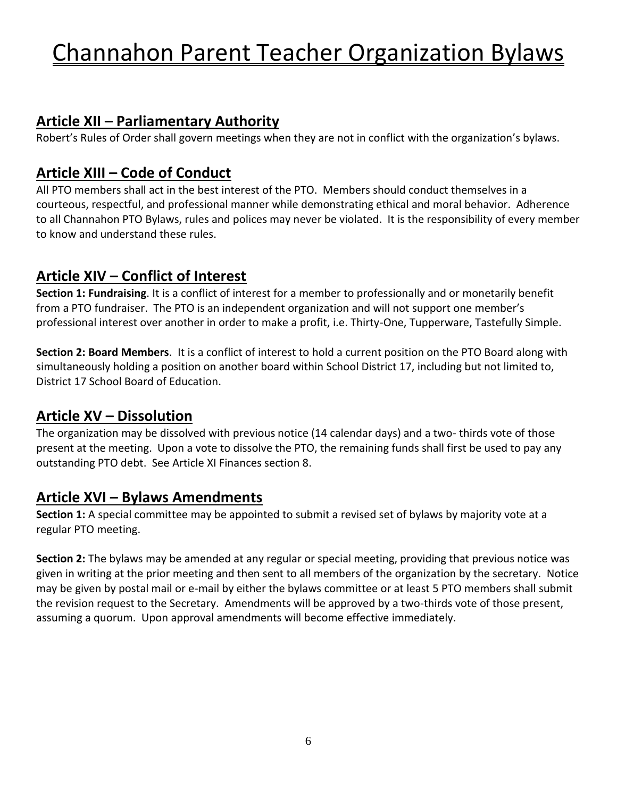### **Article XII – Parliamentary Authority**

Robert's Rules of Order shall govern meetings when they are not in conflict with the organization's bylaws.

#### **Article XIII – Code of Conduct**

All PTO members shall act in the best interest of the PTO. Members should conduct themselves in a courteous, respectful, and professional manner while demonstrating ethical and moral behavior. Adherence to all Channahon PTO Bylaws, rules and polices may never be violated. It is the responsibility of every member to know and understand these rules.

### **Article XIV – Conflict of Interest**

**Section 1: Fundraising**. It is a conflict of interest for a member to professionally and or monetarily benefit from a PTO fundraiser. The PTO is an independent organization and will not support one member's professional interest over another in order to make a profit, i.e. Thirty-One, Tupperware, Tastefully Simple.

**Section 2: Board Members**. It is a conflict of interest to hold a current position on the PTO Board along with simultaneously holding a position on another board within School District 17, including but not limited to, District 17 School Board of Education.

### **Article XV – Dissolution**

The organization may be dissolved with previous notice (14 calendar days) and a two- thirds vote of those present at the meeting. Upon a vote to dissolve the PTO, the remaining funds shall first be used to pay any outstanding PTO debt. See Article XI Finances section 8.

#### **Article XVI – Bylaws Amendments**

**Section 1:** A special committee may be appointed to submit a revised set of bylaws by majority vote at a regular PTO meeting.

**Section 2:** The bylaws may be amended at any regular or special meeting, providing that previous notice was given in writing at the prior meeting and then sent to all members of the organization by the secretary. Notice may be given by postal mail or e-mail by either the bylaws committee or at least 5 PTO members shall submit the revision request to the Secretary. Amendments will be approved by a two-thirds vote of those present, assuming a quorum. Upon approval amendments will become effective immediately.